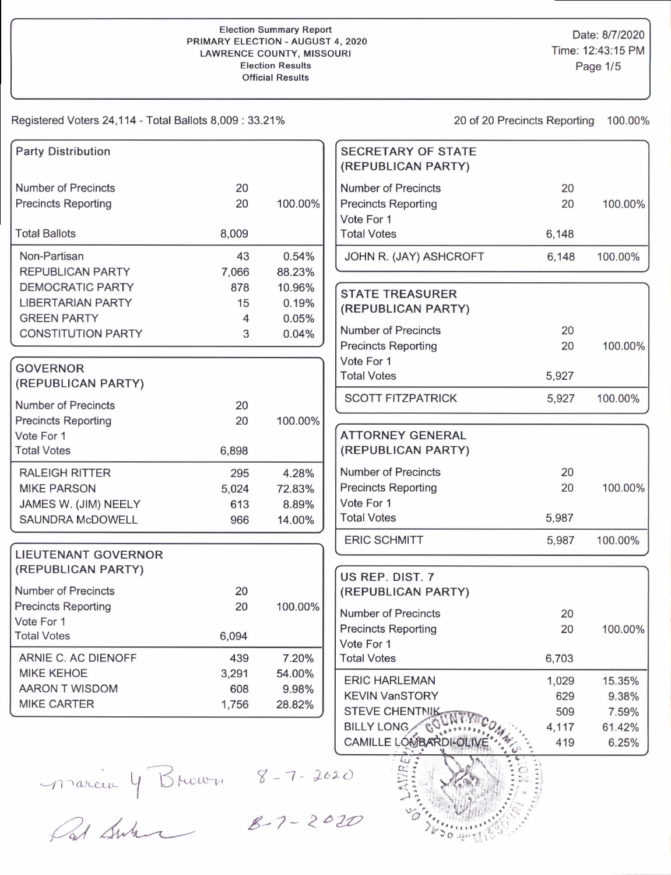## Election Summary Report PRIMARY ELECTION - AUGUST 4. 2O2O LAWRENCE COUNTY. MISSOUR Election Results **Official Results**

Date: 8/7/2020 Time: 12:43:15 PM Page 1/5

Registered Voters 24,114 - Total Ballots 8,009 : 33.21% 20 0f 20 Precincts Reporting 100.00%

|       |                                                                        | <b>SECRETARY OF STATE</b><br>(REPUBLICAN PARTY)                   |                                                                                                                                                                                                                                                                                                                   |                                            |
|-------|------------------------------------------------------------------------|-------------------------------------------------------------------|-------------------------------------------------------------------------------------------------------------------------------------------------------------------------------------------------------------------------------------------------------------------------------------------------------------------|--------------------------------------------|
| 20    |                                                                        | <b>Number of Precincts</b>                                        | 20                                                                                                                                                                                                                                                                                                                |                                            |
| 20    | 100.00%                                                                | <b>Precincts Reporting</b>                                        | 20                                                                                                                                                                                                                                                                                                                | 100.00%                                    |
|       |                                                                        | Vote For 1                                                        |                                                                                                                                                                                                                                                                                                                   |                                            |
| 8,009 |                                                                        | <b>Total Votes</b>                                                | 6,148                                                                                                                                                                                                                                                                                                             |                                            |
| 43    | 0.54%                                                                  | JOHN R. (JAY) ASHCROFT                                            | 6,148                                                                                                                                                                                                                                                                                                             | 100.00%                                    |
| 7,066 | 88.23%                                                                 |                                                                   |                                                                                                                                                                                                                                                                                                                   |                                            |
| 878   | 10.96%                                                                 |                                                                   |                                                                                                                                                                                                                                                                                                                   |                                            |
| 15    | 0.19%                                                                  |                                                                   |                                                                                                                                                                                                                                                                                                                   |                                            |
| 4     | 0.05%                                                                  |                                                                   |                                                                                                                                                                                                                                                                                                                   |                                            |
| 3     |                                                                        | <b>Number of Precincts</b>                                        | 20                                                                                                                                                                                                                                                                                                                |                                            |
|       |                                                                        | <b>Precincts Reporting</b>                                        | 20                                                                                                                                                                                                                                                                                                                | 100.00%                                    |
|       |                                                                        | Vote For 1                                                        |                                                                                                                                                                                                                                                                                                                   |                                            |
|       |                                                                        | <b>Total Votes</b>                                                | 5,927                                                                                                                                                                                                                                                                                                             |                                            |
|       |                                                                        | <b>SCOTT FITZPATRICK</b>                                          | 5,927                                                                                                                                                                                                                                                                                                             | 100.00%                                    |
|       |                                                                        |                                                                   |                                                                                                                                                                                                                                                                                                                   |                                            |
|       |                                                                        |                                                                   |                                                                                                                                                                                                                                                                                                                   |                                            |
|       |                                                                        |                                                                   |                                                                                                                                                                                                                                                                                                                   |                                            |
|       |                                                                        |                                                                   |                                                                                                                                                                                                                                                                                                                   |                                            |
| 295   | 4.28%                                                                  |                                                                   | 20                                                                                                                                                                                                                                                                                                                |                                            |
| 5,024 | 72.83%                                                                 | <b>Precincts Reporting</b>                                        | 20                                                                                                                                                                                                                                                                                                                | 100.00%                                    |
| 613   | 8.89%                                                                  | Vote For 1                                                        |                                                                                                                                                                                                                                                                                                                   |                                            |
| 966   | 14.00%                                                                 | <b>Total Votes</b>                                                | 5,987                                                                                                                                                                                                                                                                                                             |                                            |
|       |                                                                        | <b>ERIC SCHMITT</b>                                               | 5,987                                                                                                                                                                                                                                                                                                             | 100.00%                                    |
|       |                                                                        |                                                                   |                                                                                                                                                                                                                                                                                                                   |                                            |
|       |                                                                        |                                                                   |                                                                                                                                                                                                                                                                                                                   |                                            |
|       |                                                                        |                                                                   |                                                                                                                                                                                                                                                                                                                   |                                            |
|       |                                                                        |                                                                   |                                                                                                                                                                                                                                                                                                                   |                                            |
|       |                                                                        |                                                                   |                                                                                                                                                                                                                                                                                                                   |                                            |
|       |                                                                        |                                                                   |                                                                                                                                                                                                                                                                                                                   | 100.00%                                    |
|       |                                                                        |                                                                   |                                                                                                                                                                                                                                                                                                                   |                                            |
|       |                                                                        |                                                                   |                                                                                                                                                                                                                                                                                                                   |                                            |
|       |                                                                        |                                                                   |                                                                                                                                                                                                                                                                                                                   | 15.35%                                     |
|       |                                                                        | <b>KEVIN VanSTORY</b>                                             | 629                                                                                                                                                                                                                                                                                                               | 9.38%                                      |
|       |                                                                        | <b>STEVE CHENTNIK</b>                                             |                                                                                                                                                                                                                                                                                                                   | 7.59%                                      |
|       |                                                                        |                                                                   |                                                                                                                                                                                                                                                                                                                   | 61.42%                                     |
|       |                                                                        | CAMILLE LOMBARDI-OLI                                              | 419                                                                                                                                                                                                                                                                                                               | 6.25%                                      |
|       | 20<br>20<br>6,898<br>20<br>20<br>6,094<br>439<br>3,291<br>608<br>1,756 | 0.04%<br>100.00%<br>100.00%<br>7.20%<br>54.00%<br>9.98%<br>28.82% | <b>STATE TREASURER</b><br>(REPUBLICAN PARTY)<br><b>ATTORNEY GENERAL</b><br>(REPUBLICAN PARTY)<br><b>Number of Precincts</b><br>US REP. DIST. 7<br>(REPUBLICAN PARTY)<br><b>Number of Precincts</b><br><b>Precincts Reporting</b><br>Vote For 1<br><b>Total Votes</b><br><b>ERIC HARLEMAN</b><br><b>BILLY LONG</b> | 20<br>20<br>6,703<br>1,029<br>509<br>4,117 |



Pal Swan 8-7-2020

.)